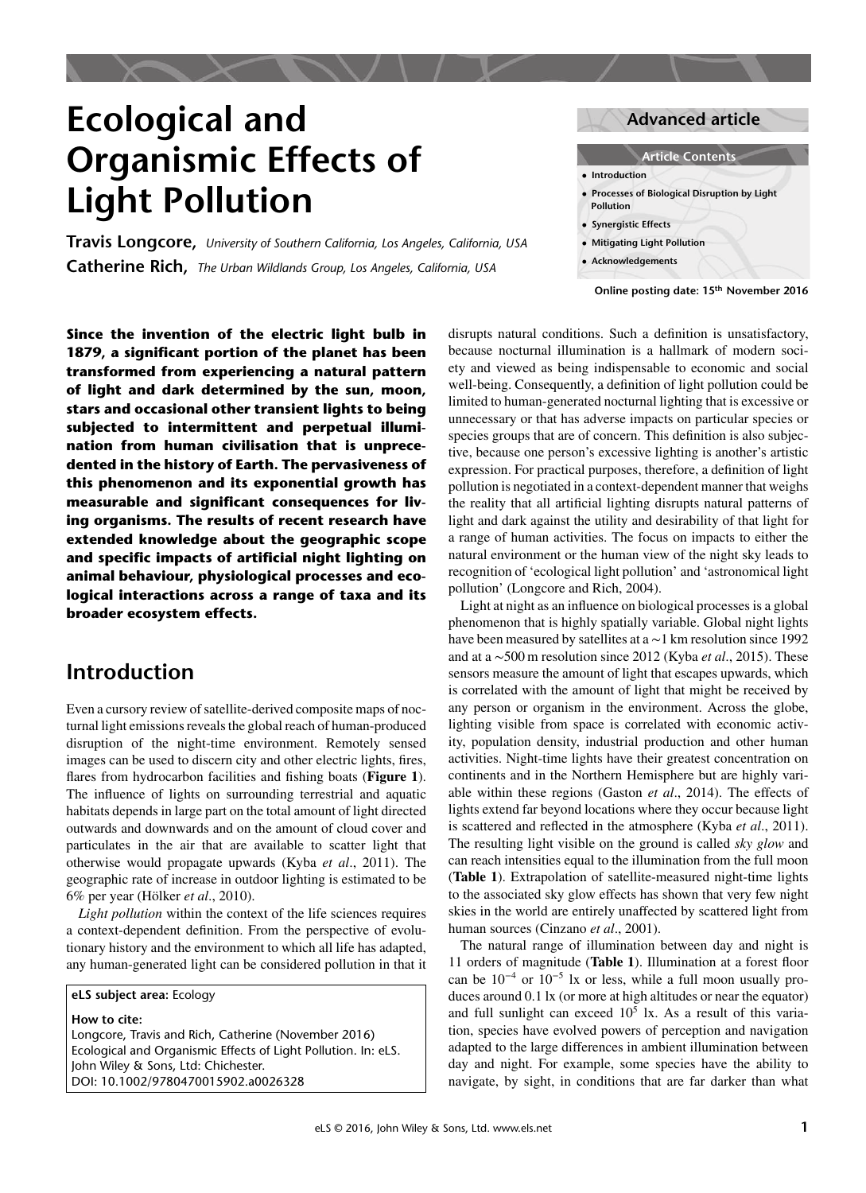# **Ecological and Organismic Effects of Light Pollution**

**Travis Longcore,** *University of Southern California, Los Angeles, California, USA* **Catherine Rich,** *The Urban Wildlands Group, Los Angeles, California, USA*

**Advanced article**



**Online posting date: 15 th November 2016**

**Since the invention of the electric light bulb in 1879, a significant portion of the planet has been transformed from experiencing a natural pattern of light and dark determined by the sun, moon, stars and occasional other transient lights to being subjected to intermittent and perpetual illumination from human civilisation that is unprecedented in the history of Earth. The pervasiveness of this phenomenon and its exponential growth has measurable and significant consequences for living organisms. The results of recent research have extended knowledge about the geographic scope and specific impacts of artificial night lighting on animal behaviour, physiological processes and ecological interactions across a range of taxa and its broader ecosystem effects.**

## **Introduction**

Even a cursory review of satellite-derived composite maps of nocturnal light emissions reveals the global reach of human-produced disruption of the night-time environment. Remotely sensed images can be used to discern city and other electric lights, fres, fares from hydrocarbon facilities and fshing boats (**Figure [1](#page-1-0)**). The infuence of lights on surrounding terrestrial and aquatic habitats depends in large part on the total amount of light directed outwards and downwards and on the amount of cloud cover and particulates in the air that are available to scatter light that otherwise would propagate upwards (Kyba *et al*., [2011\)](#page-5-0). The geographic rate of increase in outdoor lighting is estimated to be 6% per year (Hölker *et al*., [2010\)](#page-5-0).

*Light pollution* within the context of the life sciences requires a context-dependent defnition. From the perspective of evolutionary history and the environment to which all life has adapted, any human-generated light can be considered pollution in that it

**eLS subject area:** Ecology

**How to cite:**

Longcore, Travis and Rich, Catherine (November 2016) Ecological and Organismic Effects of Light Pollution. In: eLS. John Wiley & Sons, Ltd: Chichester. DOI: 10.1002/9780470015902.a0026328

disrupts natural conditions. Such a defnition is unsatisfactory, because nocturnal illumination is a hallmark of modern society and viewed as being indispensable to economic and social well-being. Consequently, a defnition of light pollution could be limited to human-generated nocturnal lighting that is excessive or unnecessary or that has adverse impacts on particular species or species groups that are of concern. This defnition is also subjective, because one person's excessive lighting is another's artistic expression. For practical purposes, therefore, a defnition of light pollution is negotiated in a context-dependent manner that weighs the reality that all artifcial lighting disrupts natural patterns of light and dark against the utility and desirability of that light for a range of human activities. The focus on impacts to either the natural environment or the human view of the night sky leads to recognition of 'ecological light pollution' and 'astronomical light pollution' (Longcore and Rich, [2004\)](#page-5-0).

Light at night as an infuence on biological processes is a global phenomenon that is highly spatially variable. Global night lights have been measured by satellites at a ∼1 km resolution since 1992 and at a ∼500 m resolution since 2012 (Kyba *et al*., 2015). These sensors measure the amount of light that escapes upwards, which is correlated with the amount of light that might be received by any person or organism in the environment. Across the globe, lighting visible from space is correlated with economic activity, population density, industrial production and other human activities. Night-time lights have their greatest concentration on continents and in the Northern Hemisphere but are highly variable within these regions (Gaston *et al*., [2014\)](#page-5-0). The effects of lights extend far beyond locations where they occur because light is scattered and refected in the atmosphere (Kyba *et al*., [2011\)](#page-5-0). The resulting light visible on the ground is called *sky glow* and can reach intensities equal to the illumination from the full moon (**Table [1](#page-2-0)**). Extrapolation of satellite-measured night-time lights to the associated sky glow effects has shown that very few night skies in the world are entirely unaffected by scattered light from human sources (Cinzano *et al*., [2001\)](#page-5-0).

The natural range of illumination between day and night is 11 orders of magnitude (**Table [1](#page-2-0)**). Illumination at a forest foor can be 10<sup>−</sup><sup>4</sup> or 10<sup>−</sup><sup>5</sup> lx or less, while a full moon usually produces around 0.1 lx (or more at high altitudes or near the equator) and full sunlight can exceed  $10<sup>5</sup>$  lx. As a result of this variation, species have evolved powers of perception and navigation adapted to the large differences in ambient illumination between day and night. For example, some species have the ability to navigate, by sight, in conditions that are far darker than what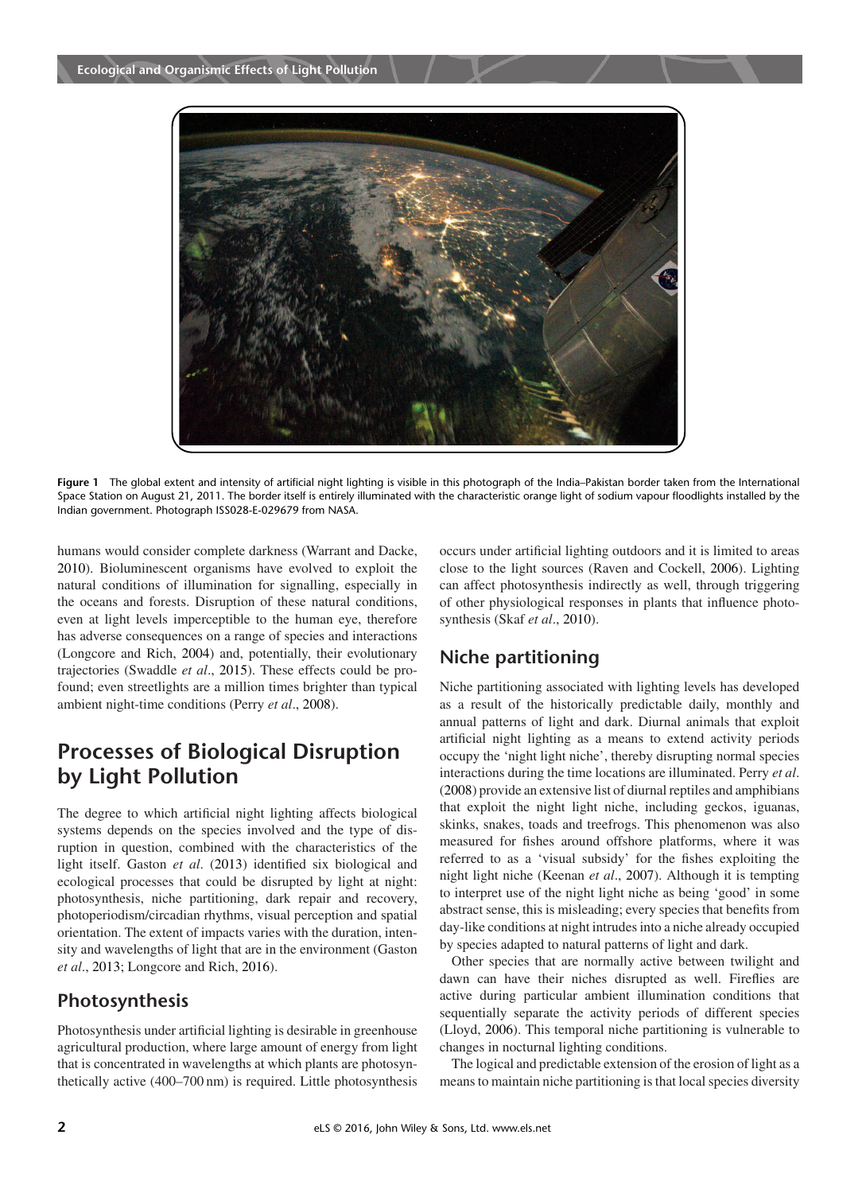<span id="page-1-0"></span>

**Figure 1** The global extent and intensity of artificial night lighting is visible in this photograph of the India–Pakistan border taken from the International Space Station on August 21, 2011. The border itself is entirely illuminated with the characteristic orange light of sodium vapour floodlights installed by the Indian government. Photograph ISS028-E-029679 from NASA.

humans would consider complete darkness (Warrant and Dacke, [2010\)](#page-5-0). Bioluminescent organisms have evolved to exploit the natural conditions of illumination for signalling, especially in the oceans and forests. Disruption of these natural conditions, even at light levels imperceptible to the human eye, therefore has adverse consequences on a range of species and interactions (Longcore and Rich, [2004\)](#page-5-0) and, potentially, their evolutionary trajectories (Swaddle *et al*., [2015\)](#page-5-0). These effects could be profound; even streetlights are a million times brighter than typical ambient night-time conditions (Perry *et al*., [2008\)](#page-5-0).

# **Processes of Biological Disruption by Light Pollution**

The degree to which artifcial night lighting affects biological systems depends on the species involved and the type of disruption in question, combined with the characteristics of the light itself. Gaston *et al*. [\(2013\)](#page-5-0) identifed six biological and ecological processes that could be disrupted by light at night: photosynthesis, niche partitioning, dark repair and recovery, photoperiodism/circadian rhythms, visual perception and spatial orientation. The extent of impacts varies with the duration, intensity and wavelengths of light that are in the environment (Gaston *et al*., [2013;](#page-5-0) Longcore and Rich, [2016\)](#page-5-0).

## **Photosynthesis**

Photosynthesis under artifcial lighting is desirable in greenhouse agricultural production, where large amount of energy from light that is concentrated in wavelengths at which plants are photosynthetically active (400–700 nm) is required. Little photosynthesis occurs under artifcial lighting outdoors and it is limited to areas close to the light sources (Raven and Cockell, [2006\)](#page-5-0). Lighting can affect photosynthesis indirectly as well, through triggering of other physiological responses in plants that infuence photosynthesis (Skaf *et al*., [2010\)](#page-5-0).

## **Niche partitioning**

Niche partitioning associated with lighting levels has developed as a result of the historically predictable daily, monthly and annual patterns of light and dark. Diurnal animals that exploit artifcial night lighting as a means to extend activity periods occupy the 'night light niche', thereby disrupting normal species interactions during the time locations are illuminated. Perry *et al*. [\(2008\)](#page-5-0) provide an extensive list of diurnal reptiles and amphibians that exploit the night light niche, including geckos, iguanas, skinks, snakes, toads and treefrogs. This phenomenon was also measured for fshes around offshore platforms, where it was referred to as a 'visual subsidy' for the fshes exploiting the night light niche (Keenan *et al*., [2007\)](#page-5-0). Although it is tempting to interpret use of the night light niche as being 'good' in some abstract sense, this is misleading; every species that benefts from day-like conditions at night intrudes into a niche already occupied by species adapted to natural patterns of light and dark.

Other species that are normally active between twilight and dawn can have their niches disrupted as well. Firefies are active during particular ambient illumination conditions that sequentially separate the activity periods of different species (Lloyd, [2006\)](#page-5-0). This temporal niche partitioning is vulnerable to changes in nocturnal lighting conditions.

The logical and predictable extension of the erosion of light as a means to maintain niche partitioning is that local species diversity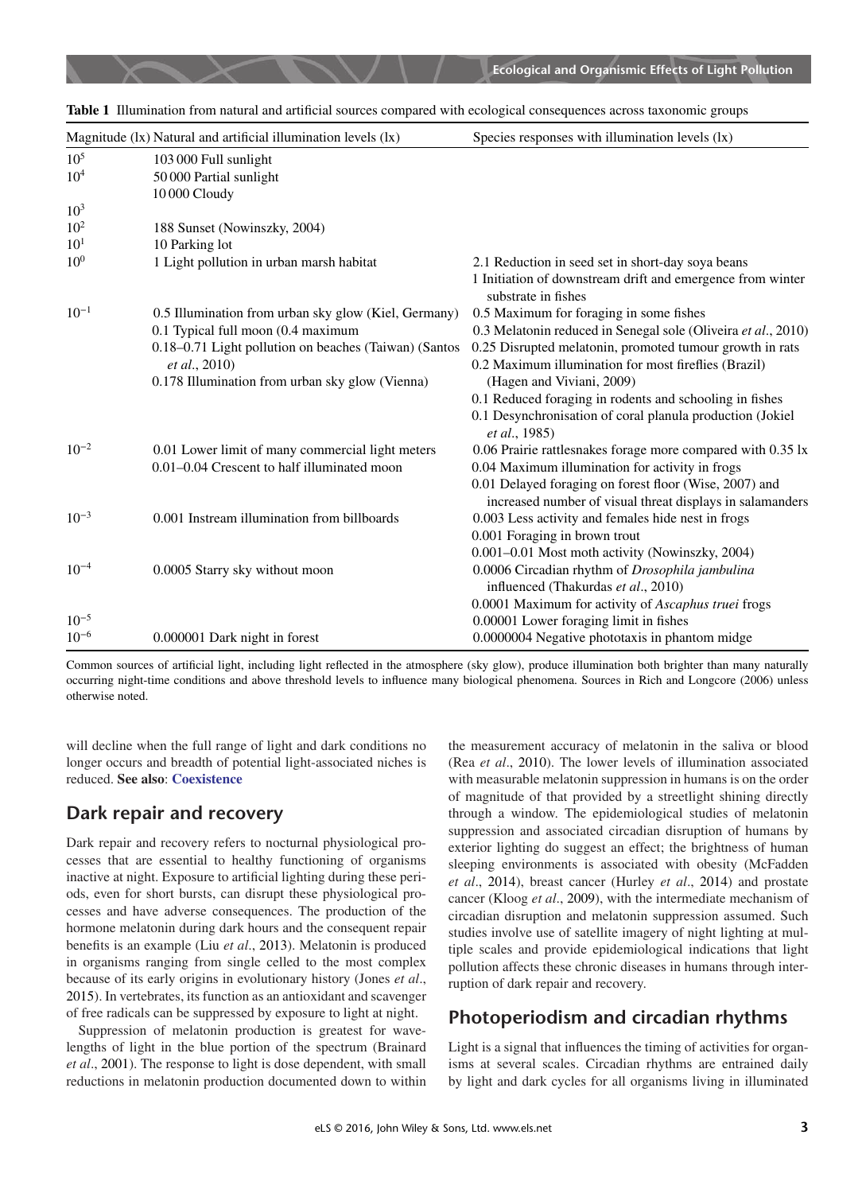|                 | Magnitude (1x) Natural and artificial illumination levels (1x) | Species responses with illumination levels (lx)                                                                     |
|-----------------|----------------------------------------------------------------|---------------------------------------------------------------------------------------------------------------------|
| $10^5$          | 103 000 Full sunlight                                          |                                                                                                                     |
| $10^{4}$        | 50 000 Partial sunlight                                        |                                                                                                                     |
|                 | 10 000 Cloudy                                                  |                                                                                                                     |
| $10^{3}$        |                                                                |                                                                                                                     |
| $10^{2}$        | 188 Sunset (Nowinszky, 2004)                                   |                                                                                                                     |
| $10^{1}$        | 10 Parking lot                                                 |                                                                                                                     |
| 10 <sup>0</sup> | 1 Light pollution in urban marsh habitat                       | 2.1 Reduction in seed set in short-day soya beans                                                                   |
|                 |                                                                | 1 Initiation of downstream drift and emergence from winter<br>substrate in fishes                                   |
| $10^{-1}$       | 0.5 Illumination from urban sky glow (Kiel, Germany)           | 0.5 Maximum for foraging in some fishes                                                                             |
|                 | 0.1 Typical full moon (0.4 maximum                             | 0.3 Melatonin reduced in Senegal sole (Oliveira et al., 2010)                                                       |
|                 | 0.18-0.71 Light pollution on beaches (Taiwan) (Santos          | 0.25 Disrupted melatonin, promoted tumour growth in rats                                                            |
|                 | <i>et al.</i> , 2010)                                          | 0.2 Maximum illumination for most fireflies (Brazil)                                                                |
|                 | 0.178 Illumination from urban sky glow (Vienna)                | (Hagen and Viviani, 2009)                                                                                           |
|                 |                                                                | 0.1 Reduced foraging in rodents and schooling in fishes                                                             |
|                 |                                                                | 0.1 Desynchronisation of coral planula production (Jokiel<br>et al., 1985)                                          |
| $10^{-2}$       | 0.01 Lower limit of many commercial light meters               | 0.06 Prairie rattlesnakes forage more compared with 0.35 lx                                                         |
|                 | 0.01-0.04 Crescent to half illuminated moon                    | 0.04 Maximum illumination for activity in frogs                                                                     |
|                 |                                                                | 0.01 Delayed foraging on forest floor (Wise, 2007) and<br>increased number of visual threat displays in salamanders |
| $10^{-3}$       | 0.001 Instream illumination from billboards                    | 0.003 Less activity and females hide nest in frogs                                                                  |
|                 |                                                                | 0.001 Foraging in brown trout                                                                                       |
|                 |                                                                | 0.001-0.01 Most moth activity (Nowinszky, 2004)                                                                     |
| $10^{-4}$       | 0.0005 Starry sky without moon                                 | 0.0006 Circadian rhythm of Drosophila jambulina                                                                     |
|                 |                                                                | influenced (Thakurdas et al., 2010)                                                                                 |
|                 |                                                                | 0.0001 Maximum for activity of Ascaphus truei frogs                                                                 |
| $10^{-5}$       |                                                                | 0.00001 Lower foraging limit in fishes                                                                              |
| $10^{-6}$       | 0.000001 Dark night in forest                                  | 0.0000004 Negative phototaxis in phantom midge                                                                      |

<span id="page-2-0"></span>

|  |  |  | Table 1 Illumination from natural and artificial sources compared with ecological consequences across taxonomic groups |  |  |
|--|--|--|------------------------------------------------------------------------------------------------------------------------|--|--|
|  |  |  |                                                                                                                        |  |  |

Common sources of artifcial light, including light refected in the atmosphere (sky glow), produce illumination both brighter than many naturally occurring night-time conditions and above threshold levels to infuence many biological phenomena. Sources in Rich and Longcore [\(2006\)](#page-5-0) unless otherwise noted.

will decline when the full range of light and dark conditions no longer occurs and breadth of potential light-associated niches is reduced. **See also**: **[Coexistence](http://onlinelibrary.wiley.com/doi/10.1002/9780470015902.a0003185/full)**

#### **Dark repair and recovery**

Dark repair and recovery refers to nocturnal physiological processes that are essential to healthy functioning of organisms inactive at night. Exposure to artifcial lighting during these periods, even for short bursts, can disrupt these physiological processes and have adverse consequences. The production of the hormone melatonin during dark hours and the consequent repair benefts is an example (Liu *et al*., [2013\)](#page-5-0). Melatonin is produced in organisms ranging from single celled to the most complex because of its early origins in evolutionary history (Jones *et al*., [2015\)](#page-5-0). In vertebrates, its function as an antioxidant and scavenger of free radicals can be suppressed by exposure to light at night.

Suppression of melatonin production is greatest for wavelengths of light in the blue portion of the spectrum (Brainard *et al*., [2001\)](#page-5-0). The response to light is dose dependent, with small reductions in melatonin production documented down to within the measurement accuracy of melatonin in the saliva or blood (Rea *et al*., [2010\)](#page-5-0). The lower levels of illumination associated with measurable melatonin suppression in humans is on the order of magnitude of that provided by a streetlight shining directly through a window. The epidemiological studies of melatonin suppression and associated circadian disruption of humans by exterior lighting do suggest an effect; the brightness of human sleeping environments is associated with obesity (McFadden *et al*., [2014\)](#page-5-0), breast cancer (Hurley *et al*., [2014\)](#page-5-0) and prostate cancer (Kloog *et al*., [2009\)](#page-5-0), with the intermediate mechanism of circadian disruption and melatonin suppression assumed. Such studies involve use of satellite imagery of night lighting at multiple scales and provide epidemiological indications that light pollution affects these chronic diseases in humans through interruption of dark repair and recovery.

#### **Photoperiodism and circadian rhythms**

Light is a signal that infuences the timing of activities for organisms at several scales. Circadian rhythms are entrained daily by light and dark cycles for all organisms living in illuminated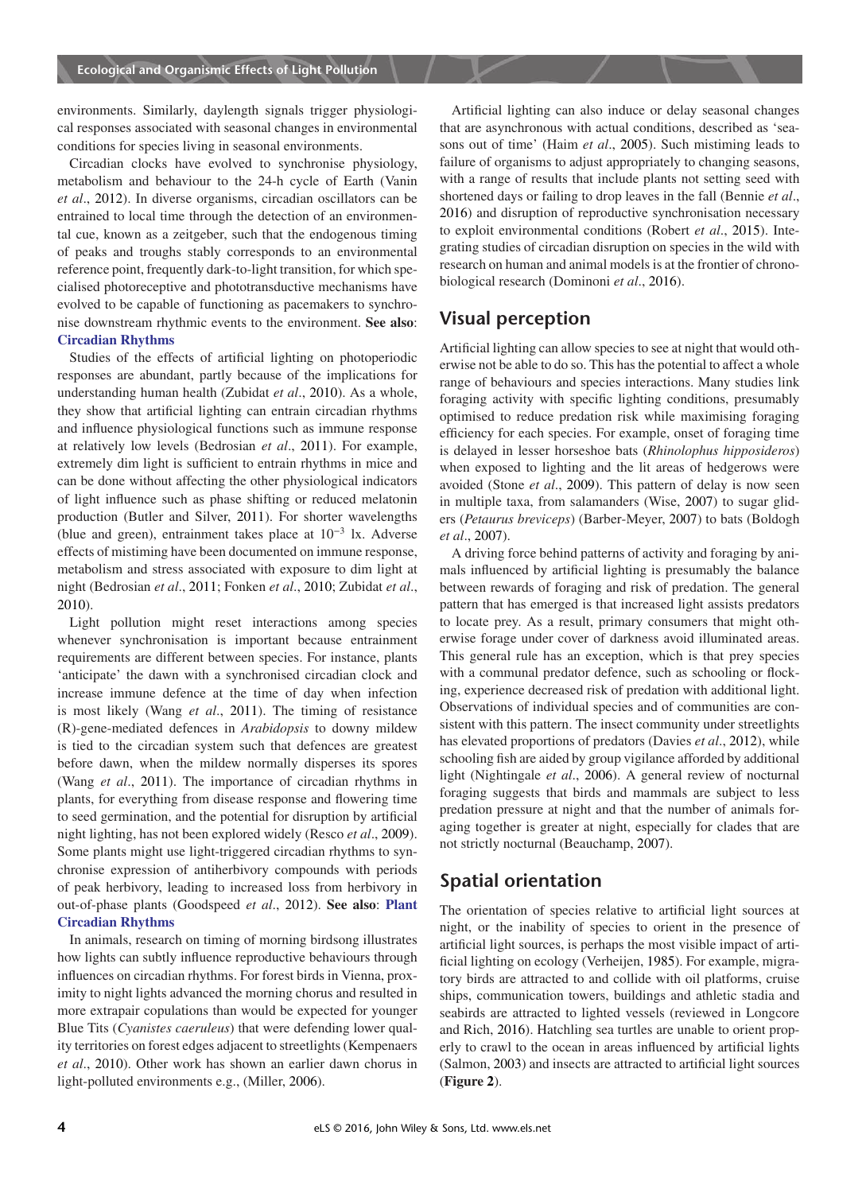environments. Similarly, daylength signals trigger physiological responses associated with seasonal changes in environmental conditions for species living in seasonal environments.

Circadian clocks have evolved to synchronise physiology, metabolism and behaviour to the 24-h cycle of Earth (Vanin *et al*., [2012\)](#page-5-0). In diverse organisms, circadian oscillators can be entrained to local time through the detection of an environmental cue, known as a zeitgeber, such that the endogenous timing of peaks and troughs stably corresponds to an environmental reference point, frequently dark-to-light transition, for which specialised photoreceptive and phototransductive mechanisms have evolved to be capable of functioning as pacemakers to synchronise downstream rhythmic events to the environment. **See also**: **[Circadian Rhythms](http://onlinelibrary.wiley.com/doi/10.1002/9780470015902.a0000040.pub2)**

Studies of the effects of artifcial lighting on photoperiodic responses are abundant, partly because of the implications for understanding human health (Zubidat *et al*., [2010\)](#page-5-0). As a whole, they show that artifcial lighting can entrain circadian rhythms and infuence physiological functions such as immune response at relatively low levels (Bedrosian *et al*., [2011\)](#page-5-0). For example, extremely dim light is sufficient to entrain rhythms in mice and can be done without affecting the other physiological indicators of light infuence such as phase shifting or reduced melatonin production (Butler and Silver, [2011\)](#page-5-0). For shorter wavelengths (blue and green), entrainment takes place at 10<sup>−</sup><sup>3</sup> lx. Adverse effects of mistiming have been documented on immune response, metabolism and stress associated with exposure to dim light at night (Bedrosian *et al*., [2011;](#page-5-0) Fonken *et al*., [2010;](#page-5-0) Zubidat *et al*., [2010\)](#page-5-0).

Light pollution might reset interactions among species whenever synchronisation is important because entrainment requirements are different between species. For instance, plants 'anticipate' the dawn with a synchronised circadian clock and increase immune defence at the time of day when infection is most likely (Wang *et al*., [2011\)](#page-5-0). The timing of resistance (R)-gene-mediated defences in *Arabidopsis* to downy mildew is tied to the circadian system such that defences are greatest before dawn, when the mildew normally disperses its spores (Wang *et al*., [2011\)](#page-5-0). The importance of circadian rhythms in plants, for everything from disease response and fowering time to seed germination, and the potential for disruption by artifcial night lighting, has not been explored widely (Resco *et al*., [2009\)](#page-5-0). Some plants might use light-triggered circadian rhythms to synchronise expression of antiherbivory compounds with periods of peak herbivory, leading to increased loss from herbivory in out-of-phase plants (Goodspeed *et al*., [2012\)](#page-5-0). **See also**: **Plant Circadian Rhythms**

In animals, research on timing of morning birdsong illustrates how lights can subtly infuence reproductive behaviours through infuences on circadian rhythms. For forest birds in Vienna, proximity to night lights advanced the morning chorus and resulted in more extrapair copulations than would be expected for younger Blue Tits (*Cyanistes caeruleus*) that were defending lower quality territories on forest edges adjacent to streetlights (Kempenaers *et al*., [2010\)](#page-5-0). Other work has shown an earlier dawn chorus in light-polluted environments e.g., (Miller, [2006\)](#page-5-0).

Artifcial lighting can also induce or delay seasonal changes that are asynchronous with actual conditions, described as 'seasons out of time' (Haim *et al*., [2005\)](#page-5-0). Such mistiming leads to failure of organisms to adjust appropriately to changing seasons, with a range of results that include plants not setting seed with shortened days or failing to drop leaves in the fall (Bennie *et al*., [2016\)](#page-5-0) and disruption of reproductive synchronisation necessary to exploit environmental conditions (Robert *et al*., [2015\)](#page-5-0). Integrating studies of circadian disruption on species in the wild with research on human and animal models is at the frontier of chronobiological research (Dominoni *et al*., [2016\)](#page-5-0).

#### **Visual perception**

Artifcial lighting can allow species to see at night that would otherwise not be able to do so. This has the potential to affect a whole range of behaviours and species interactions. Many studies link foraging activity with specifc lighting conditions, presumably optimised to reduce predation risk while maximising foraging effciency for each species. For example, onset of foraging time is delayed in lesser horseshoe bats (*Rhinolophus hipposideros*) when exposed to lighting and the lit areas of hedgerows were avoided (Stone *et al*., [2009\)](#page-5-0). This pattern of delay is now seen in multiple taxa, from salamanders (Wise, [2007\)](#page-5-0) to sugar gliders (*Petaurus breviceps*) (Barber-Meyer, [2007\)](#page-5-0) to bats (Boldogh *et al*., [2007\)](#page-5-0).

A driving force behind patterns of activity and foraging by animals infuenced by artifcial lighting is presumably the balance between rewards of foraging and risk of predation. The general pattern that has emerged is that increased light assists predators to locate prey. As a result, primary consumers that might otherwise forage under cover of darkness avoid illuminated areas. This general rule has an exception, which is that prey species with a communal predator defence, such as schooling or focking, experience decreased risk of predation with additional light. Observations of individual species and of communities are consistent with this pattern. The insect community under streetlights has elevated proportions of predators (Davies *et al*., [2012\)](#page-5-0), while schooling fsh are aided by group vigilance afforded by additional light (Nightingale *et al*., [2006\)](#page-5-0). A general review of nocturnal foraging suggests that birds and mammals are subject to less predation pressure at night and that the number of animals foraging together is greater at night, especially for clades that are not strictly nocturnal (Beauchamp, [2007\)](#page-5-0).

## **Spatial orientation**

The orientation of species relative to artifcial light sources at night, or the inability of species to orient in the presence of artifcial light sources, is perhaps the most visible impact of arti-ficial lighting on ecology (Verheijen, [1985\)](#page-5-0). For example, migratory birds are attracted to and collide with oil platforms, cruise ships, communication towers, buildings and athletic stadia and seabirds are attracted to lighted vessels (reviewed in Longcore and Rich, [2016\)](#page-5-0). Hatchling sea turtles are unable to orient properly to crawl to the ocean in areas infuenced by artifcial lights (Salmon, [2003\)](#page-5-0) and insects are attracted to artifcial light sources (**Figure [2](#page-4-0)**).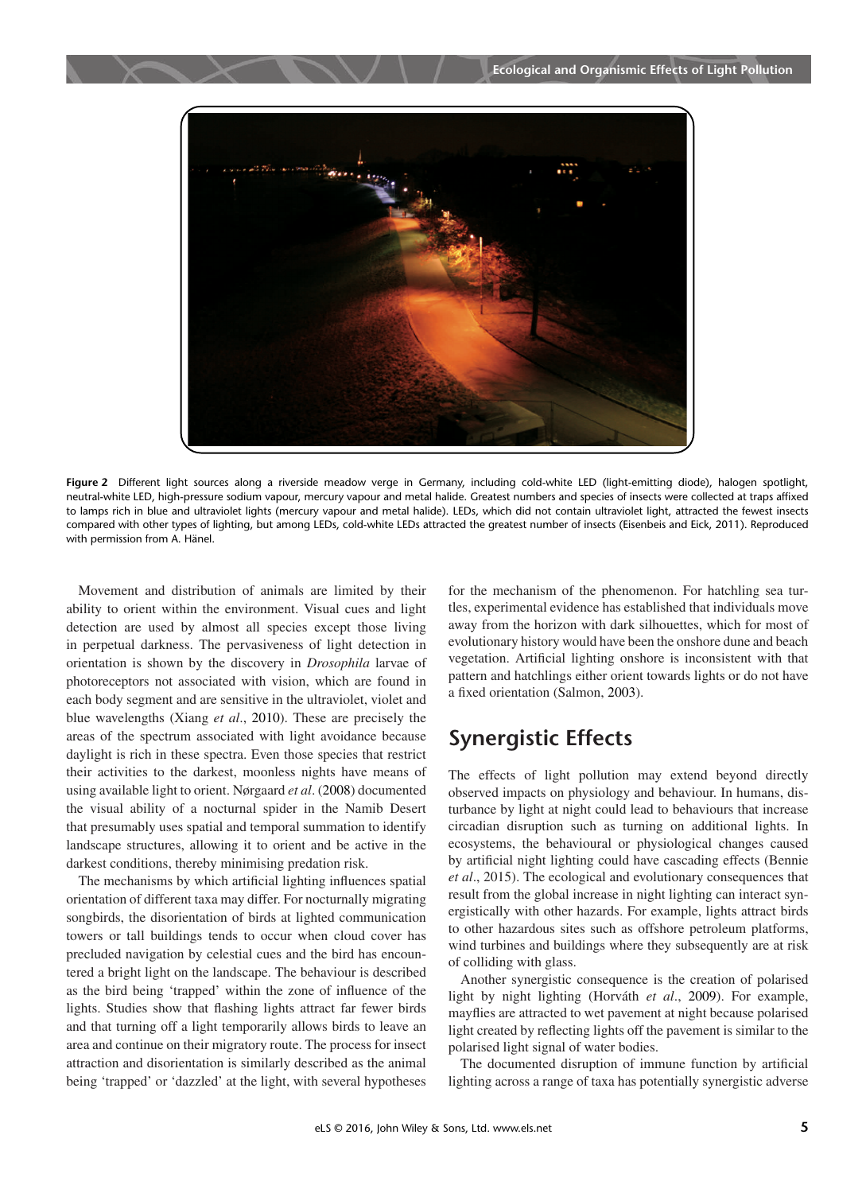<span id="page-4-0"></span>

**Figure 2** Different light sources along a riverside meadow verge in Germany, including cold-white LED (light-emitting diode), halogen spotlight, neutral-white LED, high-pressure sodium vapour, mercury vapour and metal halide. Greatest numbers and species of insects were collected at traps affixed to lamps rich in blue and ultraviolet lights (mercury vapour and metal halide). LEDs, which did not contain ultraviolet light, attracted the fewest insects compared with other types of lighting, but among LEDs, cold-white LEDs attracted the greatest number of insects (Eisenbeis and Eick, [2011\)](#page-5-0). Reproduced with permission from A. Hänel.

Movement and distribution of animals are limited by their ability to orient within the environment. Visual cues and light detection are used by almost all species except those living in perpetual darkness. The pervasiveness of light detection in orientation is shown by the discovery in *Drosophila* larvae of photoreceptors not associated with vision, which are found in each body segment and are sensitive in the ultraviolet, violet and blue wavelengths (Xiang *et al*., [2010\)](#page-5-0). These are precisely the areas of the spectrum associated with light avoidance because daylight is rich in these spectra. Even those species that restrict their activities to the darkest, moonless nights have means of using available light to orient. Nørgaard *et al*. [\(2008\)](#page-5-0) documented the visual ability of a nocturnal spider in the Namib Desert that presumably uses spatial and temporal summation to identify landscape structures, allowing it to orient and be active in the darkest conditions, thereby minimising predation risk.

The mechanisms by which artifcial lighting infuences spatial orientation of different taxa may differ. For nocturnally migrating songbirds, the disorientation of birds at lighted communication towers or tall buildings tends to occur when cloud cover has precluded navigation by celestial cues and the bird has encountered a bright light on the landscape. The behaviour is described as the bird being 'trapped' within the zone of infuence of the lights. Studies show that fashing lights attract far fewer birds and that turning off a light temporarily allows birds to leave an area and continue on their migratory route. The process for insect attraction and disorientation is similarly described as the animal being 'trapped' or 'dazzled' at the light, with several hypotheses for the mechanism of the phenomenon. For hatchling sea turtles, experimental evidence has established that individuals move away from the horizon with dark silhouettes, which for most of evolutionary history would have been the onshore dune and beach vegetation. Artifcial lighting onshore is inconsistent with that pattern and hatchlings either orient towards lights or do not have a fxed orientation (Salmon, [2003\)](#page-5-0).

# **Synergistic Effects**

The effects of light pollution may extend beyond directly observed impacts on physiology and behaviour. In humans, disturbance by light at night could lead to behaviours that increase circadian disruption such as turning on additional lights. In ecosystems, the behavioural or physiological changes caused by artifcial night lighting could have cascading effects (Bennie *et al*., 2015). The ecological and evolutionary consequences that result from the global increase in night lighting can interact synergistically with other hazards. For example, lights attract birds to other hazardous sites such as offshore petroleum platforms, wind turbines and buildings where they subsequently are at risk of colliding with glass.

Another synergistic consequence is the creation of polarised light by night lighting (Horváth *et al*., [2009\)](#page-5-0). For example, mayfies are attracted to wet pavement at night because polarised light created by refecting lights off the pavement is similar to the polarised light signal of water bodies.

The documented disruption of immune function by artifcial lighting across a range of taxa has potentially synergistic adverse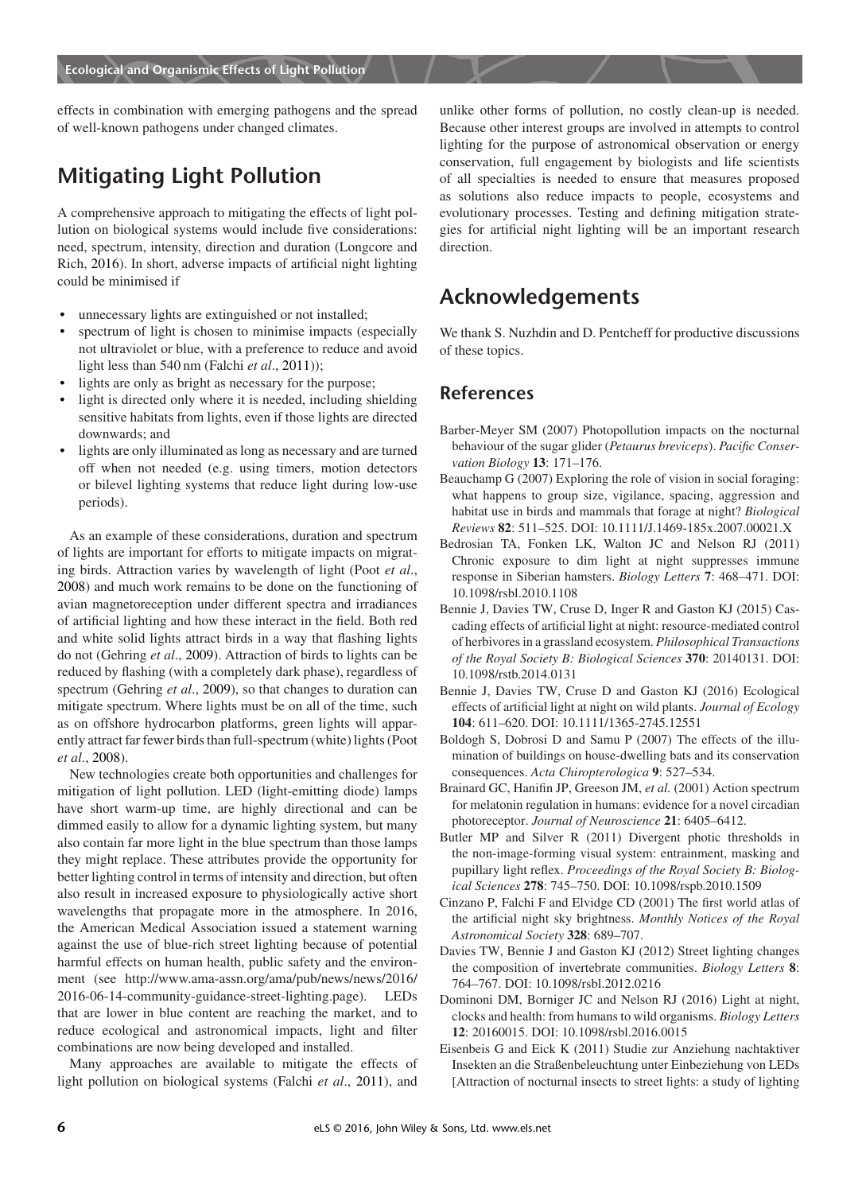effects in combination with emerging pathogens and the spread of well-known pathogens under changed climates.

# **Mitigating Light Pollution**

A comprehensive approach to mitigating the effects of light pollution on biological systems would include fve considerations: need, spectrum, intensity, direction and duration (Longcore and Rich, [2016\)](#page-5-0). In short, adverse impacts of artifcial night lighting could be minimised if

- <span id="page-5-0"></span>unnecessary lights are extinguished or not installed;
- spectrum of light is chosen to minimise impacts (especially not ultraviolet or blue, with a preference to reduce and avoid light less than 540 nm (Falchi *et al*., [2011\)](#page-5-0));
- lights are only as bright as necessary for the purpose;
- light is directed only where it is needed, including shielding sensitive habitats from lights, even if those lights are directed downwards; and
- lights are only illuminated as long as necessary and are turned off when not needed (e.g. using timers, motion detectors or bilevel lighting systems that reduce light during low-use periods).

As an example of these considerations, duration and spectrum of lights are important for efforts to mitigate impacts on migrating birds. Attraction varies by wavelength of light (Poot *et al*., [2008\)](#page-5-0) and much work remains to be done on the functioning of avian magnetoreception under different spectra and irradiances of artifcial lighting and how these interact in the feld. Both red and white solid lights attract birds in a way that fashing lights do not (Gehring *et al*., [2009\)](#page-5-0). Attraction of birds to lights can be reduced by fashing (with a completely dark phase), regardless of spectrum (Gehring *et al*., [2009\)](#page-5-0), so that changes to duration can mitigate spectrum. Where lights must be on all of the time, such as on offshore hydrocarbon platforms, green lights will apparently attract far fewer birds than full-spectrum (white) lights (Poot *et al*., [2008\)](#page-5-0).

New technologies create both opportunities and challenges for mitigation of light pollution. LED (light-emitting diode) lamps have short warm-up time, are highly directional and can be dimmed easily to allow for a dynamic lighting system, but many also contain far more light in the blue spectrum than those lamps they might replace. These attributes provide the opportunity for better lighting control in terms of intensity and direction, but often also result in increased exposure to physiologically active short wavelengths that propagate more in the atmosphere. In 2016, the American Medical Association issued a statement warning against the use of blue-rich street lighting because of potential harmful effects on human health, public safety and the environment (see http://www.ama-assn.org/ama/pub/news/news/2016/ 2016-06-14-community-guidance-street-lighting.page). LEDs that are lower in blue content are reaching the market, and to reduce ecological and astronomical impacts, light and flter combinations are now being developed and installed.

Many approaches are available to mitigate the effects of light pollution on biological systems (Falchi *et al*., [2011\)](#page-5-0), and unlike other forms of pollution, no costly clean-up is needed. Because other interest groups are involved in attempts to control lighting for the purpose of astronomical observation or energy conservation, full engagement by biologists and life scientists of all specialties is needed to ensure that measures proposed as solutions also reduce impacts to people, ecosystems and evolutionary processes. Testing and defning mitigation strategies for artifcial night lighting will be an important research direction.

# **Acknowledgements**

We thank S. Nuzhdin and D. Pentcheff for productive discussions of these topics.

#### **References**

- Barber-Meyer SM (2007) Photopollution impacts on the nocturnal behaviour of the sugar glider (*Petaurus breviceps*). *Pacifc Conservation Biology* **13**: 171–176.
- Beauchamp G (2007) Exploring the role of vision in social foraging: what happens to group size, vigilance, spacing, aggression and habitat use in birds and mammals that forage at night? *Biological Reviews* **82**: 511–525. DOI: 10.1111/J.1469-185x.2007.00021.X
- Bedrosian TA, Fonken LK, Walton JC and Nelson RJ (2011) Chronic exposure to dim light at night suppresses immune response in Siberian hamsters. *Biology Letters* **7**: 468–471. DOI: 10.1098/rsbl.2010.1108
- Bennie J, Davies TW, Cruse D, Inger R and Gaston KJ (2015) Cascading effects of artifcial light at night: resource-mediated control of herbivores in a grassland ecosystem. *Philosophical Transactions of the Royal Society B: Biological Sciences* **370**: 20140131. DOI: 10.1098/rstb.2014.0131
- Bennie J, Davies TW, Cruse D and Gaston KJ (2016) Ecological effects of artifcial light at night on wild plants. *Journal of Ecology* **104**: 611–620. DOI: 10.1111/1365-2745.12551
- Boldogh S, Dobrosi D and Samu P (2007) The effects of the illumination of buildings on house-dwelling bats and its conservation consequences. *Acta Chiropterologica* **9**: 527–534.
- Brainard GC, Hanifn JP, Greeson JM, *et al.* (2001) Action spectrum for melatonin regulation in humans: evidence for a novel circadian photoreceptor. *Journal of Neuroscience* **21**: 6405–6412.
- Butler MP and Silver R (2011) Divergent photic thresholds in the non-image-forming visual system: entrainment, masking and pupillary light refex. *Proceedings of the Royal Society B: Biological Sciences* **278**: 745–750. DOI: 10.1098/rspb.2010.1509
- Cinzano P, Falchi F and Elvidge CD (2001) The frst world atlas of the artifcial night sky brightness. *Monthly Notices of the Royal Astronomical Society* **328**: 689–707.
- Davies TW, Bennie J and Gaston KJ (2012) Street lighting changes the composition of invertebrate communities. *Biology Letters* **8**: 764–767. DOI: 10.1098/rsbl.2012.0216
- Dominoni DM, Borniger JC and Nelson RJ (2016) Light at night, clocks and health: from humans to wild organisms. *Biology Letters* **12**: 20160015. DOI: 10.1098/rsbl.2016.0015
- Eisenbeis G and Eick K (2011) Studie zur Anziehung nachtaktiver Insekten an die Straßenbeleuchtung unter Einbeziehung von LEDs [Attraction of nocturnal insects to street lights: a study of lighting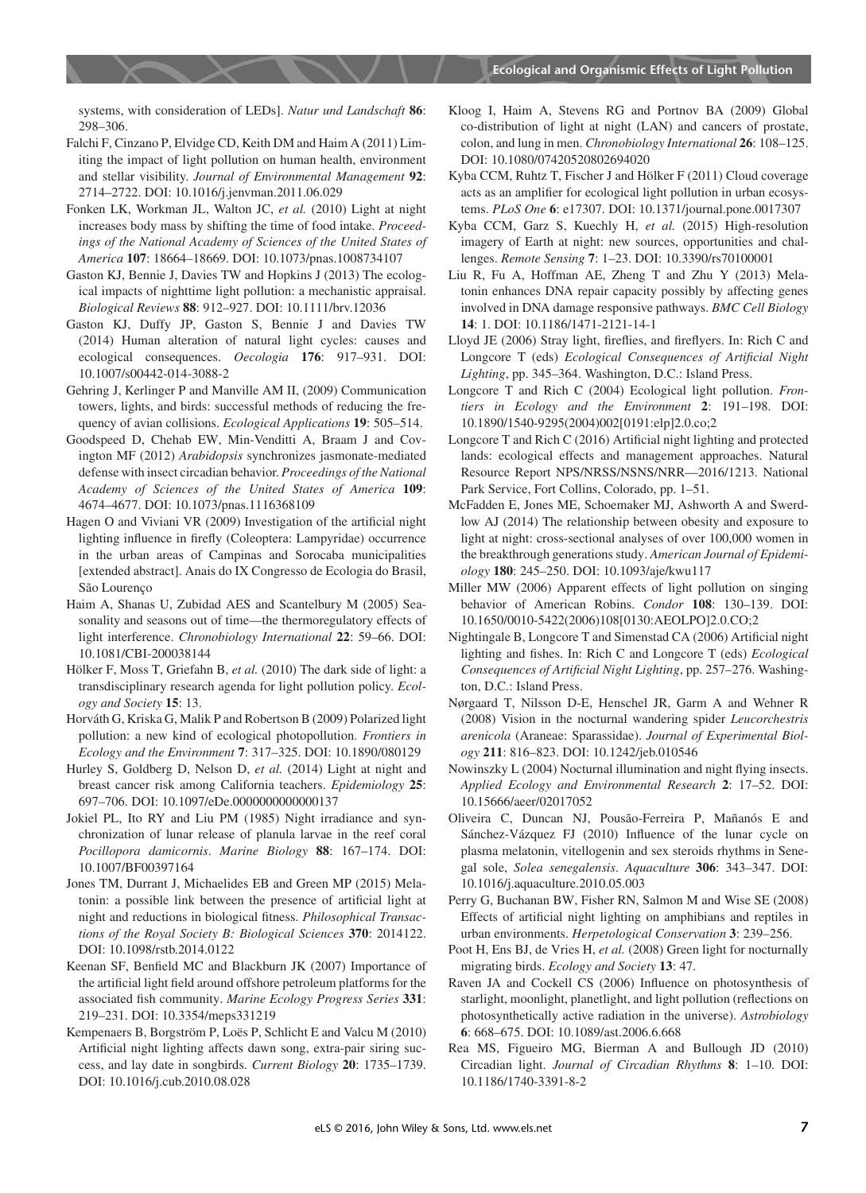systems, with consideration of LEDs]. *Natur und Landschaft* **86**: 298–306.

- Falchi F, Cinzano P, Elvidge CD, Keith DM and Haim A (2011) Limiting the impact of light pollution on human health, environment and stellar visibility. *Journal of Environmental Management* **92**: 2714–2722. DOI: 10.1016/j.jenvman.2011.06.029
- Fonken LK, Workman JL, Walton JC, *et al.* (2010) Light at night increases body mass by shifting the time of food intake. *Proceedings of the National Academy of Sciences of the United States of America* **107**: 18664–18669. DOI: 10.1073/pnas.1008734107
- Gaston KJ, Bennie J, Davies TW and Hopkins J (2013) The ecological impacts of nighttime light pollution: a mechanistic appraisal. *Biological Reviews* **88**: 912–927. DOI: 10.1111/brv.12036
- Gaston KJ, Duffy JP, Gaston S, Bennie J and Davies TW (2014) Human alteration of natural light cycles: causes and ecological consequences. *Oecologia* **176**: 917–931. DOI: 10.1007/s00442-014-3088-2
- Gehring J, Kerlinger P and Manville AM II, (2009) Communication towers, lights, and birds: successful methods of reducing the frequency of avian collisions. *Ecological Applications* **19**: 505–514.
- Goodspeed D, Chehab EW, Min-Venditti A, Braam J and Covington MF (2012) *Arabidopsis* synchronizes jasmonate-mediated defense with insect circadian behavior. *Proceedings of the National Academy of Sciences of the United States of America* **109**: 4674–4677. DOI: 10.1073/pnas.1116368109
- Hagen O and Viviani VR (2009) Investigation of the artifcial night lighting infuence in frefy (Coleoptera: Lampyridae) occurrence in the urban areas of Campinas and Sorocaba municipalities [extended abstract]. Anais do IX Congresso de Ecologia do Brasil, São Lourenço
- Haim A, Shanas U, Zubidad AES and Scantelbury M (2005) Seasonality and seasons out of time—the thermoregulatory effects of light interference. *Chronobiology International* **22**: 59–66. DOI: 10.1081/CBI-200038144
- Hölker F, Moss T, Griefahn B, *et al.* (2010) The dark side of light: a transdisciplinary research agenda for light pollution policy. *Ecology and Society* **15**: 13.
- Horváth G, Kriska G, Malik P and Robertson B (2009) Polarized light pollution: a new kind of ecological photopollution. *Frontiers in Ecology and the Environment* **7**: 317–325. DOI: 10.1890/080129
- Hurley S, Goldberg D, Nelson D, *et al.* (2014) Light at night and breast cancer risk among California teachers. *Epidemiology* **25**: 697–706. DOI: 10.1097/eDe.0000000000000137
- Jokiel PL, Ito RY and Liu PM (1985) Night irradiance and synchronization of lunar release of planula larvae in the reef coral *Pocillopora damicornis*. *Marine Biology* **88**: 167–174. DOI: 10.1007/BF00397164
- Jones TM, Durrant J, Michaelides EB and Green MP (2015) Melatonin: a possible link between the presence of artifcial light at night and reductions in biological ftness. *Philosophical Transactions of the Royal Society B: Biological Sciences* **370**: 2014122. DOI: 10.1098/rstb.2014.0122
- Keenan SF, Benfeld MC and Blackburn JK (2007) Importance of the artifcial light feld around offshore petroleum platforms for the associated fsh community. *Marine Ecology Progress Series* **331**: 219–231. DOI: 10.3354/meps331219
- Kempenaers B, Borgström P, Loës P, Schlicht E and Valcu M (2010) Artifcial night lighting affects dawn song, extra-pair siring success, and lay date in songbirds. *Current Biology* **20**: 1735–1739. DOI: 10.1016/j.cub.2010.08.028
- Kloog I, Haim A, Stevens RG and Portnov BA (2009) Global co-distribution of light at night (LAN) and cancers of prostate, colon, and lung in men. *Chronobiology International* **26**: 108–125. DOI: 10.1080/07420520802694020
- Kyba CCM, Ruhtz T, Fischer J and Hölker F (2011) Cloud coverage acts as an amplifer for ecological light pollution in urban ecosystems. *PLoS One* **6**: e17307. DOI: 10.1371/journal.pone.0017307
- Kyba CCM, Garz S, Kuechly H, *et al.* (2015) High-resolution imagery of Earth at night: new sources, opportunities and challenges. *Remote Sensing* **7**: 1–23. DOI: 10.3390/rs70100001
- Liu R, Fu A, Hoffman AE, Zheng T and Zhu Y (2013) Melatonin enhances DNA repair capacity possibly by affecting genes involved in DNA damage responsive pathways. *BMC Cell Biology* **14**: 1. DOI: 10.1186/1471-2121-14-1
- Lloyd JE (2006) Stray light, frefies, and frefyers. In: Rich C and Longcore T (eds) *Ecological Consequences of Artifcial Night Lighting*, pp. 345–364. Washington, D.C.: Island Press.
- Longcore T and Rich C (2004) Ecological light pollution. *Frontiers in Ecology and the Environment* **2**: 191–198. DOI: 10.1890/1540-9295(2004)002[0191:elp]2.0.co;2
- Longcore T and Rich C (2016) Artifcial night lighting and protected lands: ecological effects and management approaches. Natural Resource Report NPS/NRSS/NSNS/NRR—2016/1213. National Park Service, Fort Collins, Colorado, pp. 1–51.
- McFadden E, Jones ME, Schoemaker MJ, Ashworth A and Swerdlow AJ (2014) The relationship between obesity and exposure to light at night: cross-sectional analyses of over 100,000 women in the breakthrough generations study. *American Journal of Epidemiology* **180**: 245–250. DOI: 10.1093/aje/kwu117
- Miller MW (2006) Apparent effects of light pollution on singing behavior of American Robins. *Condor* **108**: 130–139. DOI: 10.1650/0010-5422(2006)108[0130:AEOLPO]2.0.CO;2
- Nightingale B, Longcore T and Simenstad CA (2006) Artifcial night lighting and fshes. In: Rich C and Longcore T (eds) *Ecological Consequences of Artifcial Night Lighting*, pp. 257–276. Washington, D.C.: Island Press.
- Nørgaard T, Nilsson D-E, Henschel JR, Garm A and Wehner R (2008) Vision in the nocturnal wandering spider *Leucorchestris arenicola* (Araneae: Sparassidae). *Journal of Experimental Biology* **211**: 816–823. DOI: 10.1242/jeb.010546
- Nowinszky L (2004) Nocturnal illumination and night fying insects. *Applied Ecology and Environmental Research* **2**: 17–52. DOI: 10.15666/aeer/02017052
- Oliveira C, Duncan NJ, Pousão-Ferreira P, Mañanós E and Sánchez-Vázquez FJ (2010) Infuence of the lunar cycle on plasma melatonin, vitellogenin and sex steroids rhythms in Senegal sole, *Solea senegalensis*. *Aquaculture* **306**: 343–347. DOI: 10.1016/j.aquaculture.2010.05.003
- Perry G, Buchanan BW, Fisher RN, Salmon M and Wise SE (2008) Effects of artifcial night lighting on amphibians and reptiles in urban environments. *Herpetological Conservation* **3**: 239–256.
- Poot H, Ens BJ, de Vries H, *et al.* (2008) Green light for nocturnally migrating birds. *Ecology and Society* **13**: 47.
- Raven JA and Cockell CS (2006) Infuence on photosynthesis of starlight, moonlight, planetlight, and light pollution (refections on photosynthetically active radiation in the universe). *Astrobiology* **6**: 668–675. DOI: 10.1089/ast.2006.6.668
- Rea MS, Figueiro MG, Bierman A and Bullough JD (2010) Circadian light. *Journal of Circadian Rhythms* **8**: 1–10. DOI: 10.1186/1740-3391-8-2